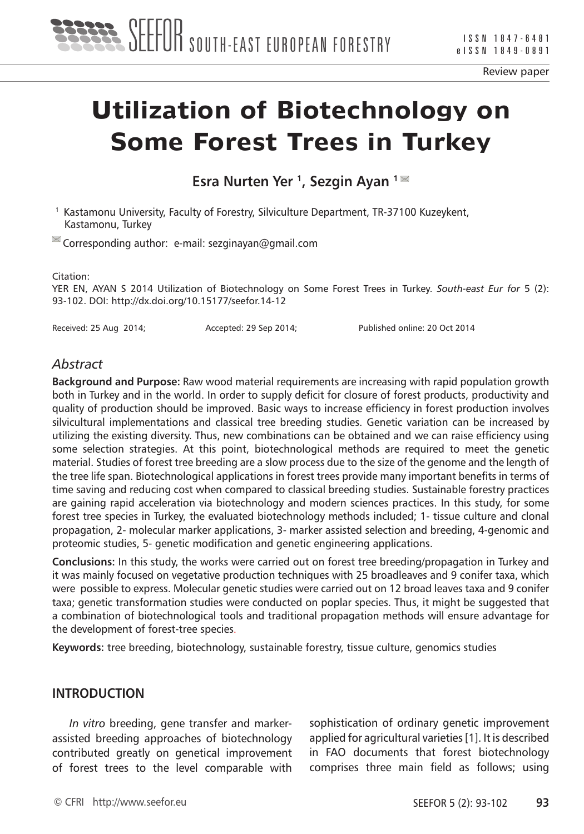

Review paper

# **Utilization of Biotechnology on Some Forest Trees in Turkey**

**Esra Nurten Yer <sup>1</sup>, Sezgin Ayan <sup>1 ■</sup>** 

1 Kastamonu University, Faculty of Forestry, Silviculture Department, TR-37100 Kuzeykent, Kastamonu, Turkey

 $\blacksquare$  Corresponding author: e-mail: sezginayan@gmail.com

Citation:

YER EN, AYAN S 2014 Utilization of Biotechnology on Some Forest Trees in Turkey. *South-east Eur for* 5 (2): 93-102. DOI: http://dx.doi.org/10.15177/seefor.14-12

Received: 25 Aug 2014; Accepted: 29 Sep 2014; Published online: 20 Oct 2014

#### *Abstract*

**Background and Purpose:** Raw wood material requirements are increasing with rapid population growth both in Turkey and in the world. In order to supply deficit for closure of forest products, productivity and quality of production should be improved. Basic ways to increase efficiency in forest production involves silvicultural implementations and classical tree breeding studies. Genetic variation can be increased by utilizing the existing diversity. Thus, new combinations can be obtained and we can raise efficiency using some selection strategies. At this point, biotechnological methods are required to meet the genetic material. Studies of forest tree breeding are a slow process due to the size of the genome and the length of the tree life span. Biotechnological applications in forest trees provide many important benefits in terms of time saving and reducing cost when compared to classical breeding studies. Sustainable forestry practices are gaining rapid acceleration via biotechnology and modern sciences practices. In this study, for some forest tree species in Turkey, the evaluated biotechnology methods included; 1- tissue culture and clonal propagation, 2- molecular marker applications, 3- marker assisted selection and breeding, 4-genomic and proteomic studies, 5- genetic modification and genetic engineering applications.

**Conclusions:** In this study, the works were carried out on forest tree breeding/propagation in Turkey and it was mainly focused on vegetative production techniques with 25 broadleaves and 9 conifer taxa, which were possible to express. Molecular genetic studies were carried out on 12 broad leaves taxa and 9 conifer taxa; genetic transformation studies were conducted on poplar species. Thus, it might be suggested that a combination of biotechnological tools and traditional propagation methods will ensure advantage for the development of forest-tree species.

**Keywords:** tree breeding, biotechnology, sustainable forestry, tissue culture, genomics studies

#### **INTRODUCTION**

*In vitro* breeding, gene transfer and markerassisted breeding approaches of biotechnology contributed greatly on genetical improvement of forest trees to the level comparable with

sophistication of ordinary genetic improvement applied for agricultural varieties [1]. It is described in FAO documents that forest biotechnology comprises three main field as follows; using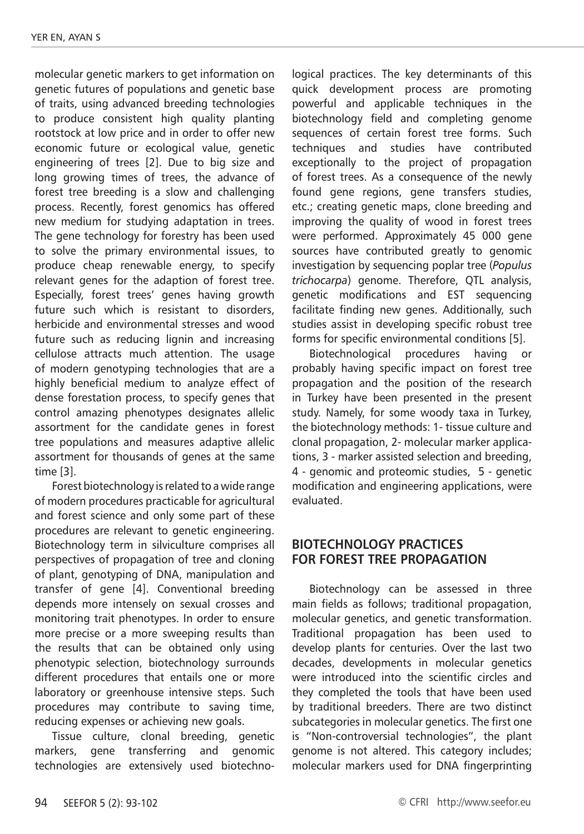molecular genetic markers to get information on genetic futures of populations and genetic base of traits, using advanced breeding technologies to produce consistent high quality planting rootstock at low price and in order to offer new economic future or ecological value, genetic engineering of trees [2]. Due to big size and long growing times of trees, the advance of forest tree breeding is a slow and challenging process. Recently, forest genomics has offered new medium for studying adaptation in trees. The gene technology for forestry has been used to solve the primary environmental issues, to produce cheap renewable energy, to specify relevant genes for the adaption of forest tree. Especially, forest trees' genes having growth future such which is resistant to disorders, herbicide and environmental stresses and wood future such as reducing lignin and increasing cellulose attracts much attention. The usage of modern genotyping technologies that are a highly beneficial medium to analyze effect of dense forestation process, to specify genes that control amazing phenotypes designates allelic assortment for the candidate genes in forest tree populations and measures adaptive allelic assortment for thousands of genes at the same time [3].

Forest biotechnology is related to a wide range of modern procedures practicable for agricultural and forest science and only some part of these procedures are relevant to genetic engineering. Biotechnology term in silviculture comprises all perspectives of propagation of tree and cloning of plant, genotyping of DNA, manipulation and transfer of gene [4]. Conventional breeding depends more intensely on sexual crosses and monitoring trait phenotypes. In order to ensure more precise or a more sweeping results than the results that can be obtained only using phenotypic selection, biotechnology surrounds different procedures that entails one or more laboratory or greenhouse intensive steps. Such procedures may contribute to saving time, reducing expenses or achieving new goals.

Tissue culture, clonal breeding, genetic markers, gene transferring and genomic technologies are extensively used biotechnological practices. The key determinants of this quick development process are promoting powerful and applicable techniques in the biotechnology field and completing genome sequences of certain forest tree forms. Such techniques and studies have contributed exceptionally to the project of propagation of forest trees. As a consequence of the newly found gene regions, gene transfers studies, etc.; creating genetic maps, clone breeding and improving the quality of wood in forest trees were performed. Approximately 45 000 gene sources have contributed greatly to genomic investigation by sequencing poplar tree (*Populus trichocarpa*) genome. Therefore, QTL analysis, genetic modifications and EST sequencing facilitate finding new genes. Additionally, such studies assist in developing specific robust tree forms for specific environmental conditions [5].

Biotechnological procedures having or probably having specific impact on forest tree propagation and the position of the research in Turkey have been presented in the present study. Namely, for some woody taxa in Turkey, the biotechnology methods: 1- tissue culture and clonal propagation, 2- molecular marker applications, 3 - marker assisted selection and breeding, 4 - genomic and proteomic studies, 5 - genetic modification and engineering applications, were evaluated.

## **BIOTECHNOLOGY PRACTICES FOR FOREST TREE PROPAGATION**

Biotechnology can be assessed in three main fields as follows; traditional propagation, molecular genetics, and genetic transformation. Traditional propagation has been used to develop plants for centuries. Over the last two decades, developments in molecular genetics were introduced into the scientific circles and they completed the tools that have been used by traditional breeders. There are two distinct subcategories in molecular genetics. The first one is "Non-controversial technologies", the plant genome is not altered. This category includes; molecular markers used for DNA fingerprinting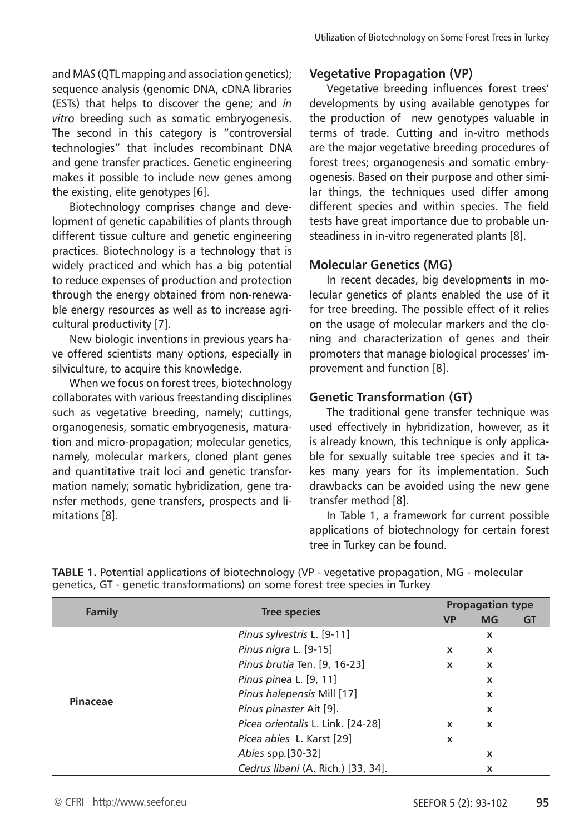and MAS (QTL mapping and association genetics); sequence analysis (genomic DNA, cDNA libraries (ESTs) that helps to discover the gene; and *in vitro* breeding such as somatic embryogenesis. The second in this category is "controversial technologies" that includes recombinant DNA and gene transfer practices. Genetic engineering makes it possible to include new genes among the existing, elite genotypes [6].

Biotechnology comprises change and development of genetic capabilities of plants through different tissue culture and genetic engineering practices. Biotechnology is a technology that is widely practiced and which has a big potential to reduce expenses of production and protection through the energy obtained from non-renewable energy resources as well as to increase agricultural productivity [7].

New biologic inventions in previous years have offered scientists many options, especially in silviculture, to acquire this knowledge.

When we focus on forest trees, biotechnology collaborates with various freestanding disciplines such as vegetative breeding, namely; cuttings, organogenesis, somatic embryogenesis, maturation and micro-propagation; molecular genetics, namely, molecular markers, cloned plant genes and quantitative trait loci and genetic transformation namely; somatic hybridization, gene transfer methods, gene transfers, prospects and limitations [8].

# **Vegetative Propagation (VP)**

Vegetative breeding influences forest trees' developments by using available genotypes for the production of new genotypes valuable in terms of trade. Cutting and in-vitro methods are the major vegetative breeding procedures of forest trees; organogenesis and somatic embryogenesis. Based on their purpose and other similar things, the techniques used differ among different species and within species. The field tests have great importance due to probable unsteadiness in in-vitro regenerated plants [8].

## **Molecular Genetics (MG)**

In recent decades, big developments in molecular genetics of plants enabled the use of it for tree breeding. The possible effect of it relies on the usage of molecular markers and the cloning and characterization of genes and their promoters that manage biological processes' improvement and function [8].

# **Genetic Transformation (GT)**

The traditional gene transfer technique was used effectively in hybridization, however, as it is already known, this technique is only applicable for sexually suitable tree species and it takes many years for its implementation. Such drawbacks can be avoided using the new gene transfer method [8].

In Table 1, a framework for current possible applications of biotechnology for certain forest tree in Turkey can be found.

| Family   | <b>Tree species</b>                |             | <b>Propagation type</b> |    |  |  |
|----------|------------------------------------|-------------|-------------------------|----|--|--|
|          |                                    | <b>VP</b>   | <b>MG</b>               | GT |  |  |
| Pinaceae | Pinus sylvestris L. [9-11]         |             | X                       |    |  |  |
|          | Pinus nigra L. [9-15]              | x           | X                       |    |  |  |
|          | Pinus brutia Ten. [9, 16-23]       | $\mathbf x$ | X                       |    |  |  |
|          | Pinus pinea L. [9, 11]             |             | X                       |    |  |  |
|          | Pinus halepensis Mill [17]         |             | X                       |    |  |  |
|          | Pinus pinaster Ait [9].            |             | X                       |    |  |  |
|          | Picea orientalis L. Link. [24-28]  | x           | X                       |    |  |  |
|          | Picea abies L. Karst [29]          | X           |                         |    |  |  |
|          | Abies spp. [30-32]                 |             | $\mathbf x$             |    |  |  |
|          | Cedrus libani (A. Rich.) [33, 34]. |             | X                       |    |  |  |

**TABLE 1.** Potential applications of biotechnology (VP - vegetative propagation, MG - molecular genetics, GT - genetic transformations) on some forest tree species in Turkey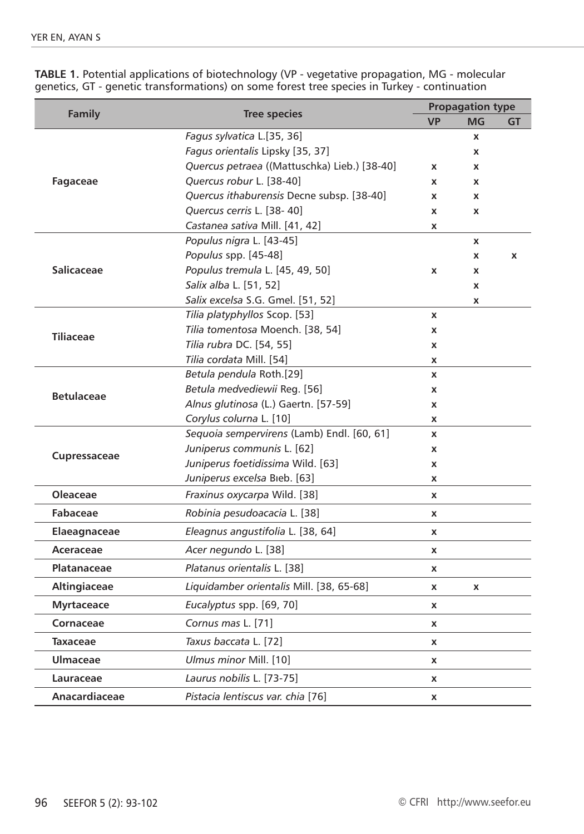| <b>Family</b>      | <b>Tree species</b>                          | <b>Propagation type</b> |                    |    |
|--------------------|----------------------------------------------|-------------------------|--------------------|----|
|                    |                                              | <b>VP</b>               | MG                 | GT |
| Fagaceae           | Fagus sylvatica L.[35, 36]                   |                         | X                  |    |
|                    | Fagus orientalis Lipsky [35, 37]             |                         | X                  |    |
|                    | Quercus petraea ((Mattuschka) Lieb.) [38-40] | x                       | X                  |    |
|                    | Quercus robur L. [38-40]                     | X                       | X                  |    |
|                    | Quercus ithaburensis Decne subsp. [38-40]    | x                       | X                  |    |
|                    | Quercus cerris L. [38-40]                    | X                       | X                  |    |
|                    | Castanea sativa Mill. [41, 42]               | x                       |                    |    |
|                    | Populus nigra L. [43-45]                     |                         | $\pmb{\mathsf{x}}$ |    |
| <b>Salicaceae</b>  | Populus spp. [45-48]                         |                         | X                  | x  |
|                    | Populus tremula L. [45, 49, 50]              | x                       | X                  |    |
|                    | Salix alba L. [51, 52]                       |                         | X                  |    |
|                    | Salix excelsa S.G. Gmel. [51, 52]            |                         | X                  |    |
|                    | Tilia platyphyllos Scop. [53]                | x                       |                    |    |
| <b>Tiliaceae</b>   | Tilia tomentosa Moench. [38, 54]             | x                       |                    |    |
|                    | Tilia rubra DC. [54, 55]                     | x                       |                    |    |
|                    | Tilia cordata Mill. [54]                     | x                       |                    |    |
|                    | Betula pendula Roth.[29]                     | x                       |                    |    |
| <b>Betulaceae</b>  | Betula medvediewii Reg. [56]                 | x                       |                    |    |
|                    | Alnus glutinosa (L.) Gaertn. [57-59]         | x                       |                    |    |
|                    | Corylus colurna L. [10]                      | x                       |                    |    |
|                    | Sequoia sempervirens (Lamb) Endl. [60, 61]   | x                       |                    |    |
| Cupressaceae       | Juniperus communis L. [62]                   | x                       |                    |    |
|                    | Juniperus foetidissima Wild. [63]            | x                       |                    |    |
|                    | Juniperus excelsa Bieb. [63]                 | x                       |                    |    |
| <b>Oleaceae</b>    | <i>Fraxinus oxycarpa Wild.</i> [38]          | X                       |                    |    |
| Fabaceae           | Robinia pesudoacacia L. [38]                 | x                       |                    |    |
| Elaeagnaceae       | Eleagnus angustifolia L. [38, 64]            | x                       |                    |    |
| Aceraceae          | Acer negundo L. [38]                         | X                       |                    |    |
| <b>Platanaceae</b> | Platanus orientalis L. [38]                  | x                       |                    |    |
| Altingiaceae       | Liquidamber orientalis Mill. [38, 65-68]     | x                       | $\pmb{\mathsf{x}}$ |    |
| <b>Myrtaceace</b>  | Eucalyptus spp. [69, 70]                     | X                       |                    |    |
| Cornaceae          | Cornus mas L. [71]                           | x                       |                    |    |
| <b>Taxaceae</b>    | Taxus baccata L. [72]                        | x                       |                    |    |
| <b>Ulmaceae</b>    | Ulmus minor Mill. [10]                       | x                       |                    |    |
| Lauraceae          | Laurus nobilis L. [73-75]                    | x                       |                    |    |
| Anacardiaceae      | Pistacia lentiscus var. chia [76]            | x                       |                    |    |

**TABLE 1.** Potential applications of biotechnology (VP - vegetative propagation, MG - molecular genetics, GT - genetic transformations) on some forest tree species in Turkey - continuation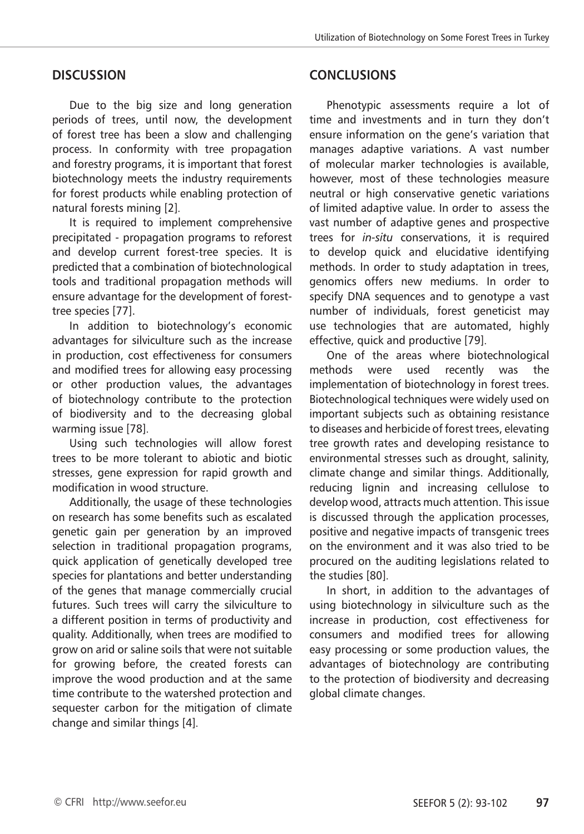## **DISCUSSION**

Due to the big size and long generation periods of trees, until now, the development of forest tree has been a slow and challenging process. In conformity with tree propagation and forestry programs, it is important that forest biotechnology meets the industry requirements for forest products while enabling protection of natural forests mining [2].

It is required to implement comprehensive precipitated - propagation programs to reforest and develop current forest-tree species. It is predicted that a combination of biotechnological tools and traditional propagation methods will ensure advantage for the development of foresttree species [77].

In addition to biotechnology's economic advantages for silviculture such as the increase in production, cost effectiveness for consumers and modified trees for allowing easy processing or other production values, the advantages of biotechnology contribute to the protection of biodiversity and to the decreasing global warming issue [78].

Using such technologies will allow forest trees to be more tolerant to abiotic and biotic stresses, gene expression for rapid growth and modification in wood structure.

Additionally, the usage of these technologies on research has some benefits such as escalated genetic gain per generation by an improved selection in traditional propagation programs, quick application of genetically developed tree species for plantations and better understanding of the genes that manage commercially crucial futures. Such trees will carry the silviculture to a different position in terms of productivity and quality. Additionally, when trees are modified to grow on arid or saline soils that were not suitable for growing before, the created forests can improve the wood production and at the same time contribute to the watershed protection and sequester carbon for the mitigation of climate change and similar things [4].

## **CONCLUSIONS**

Phenotypic assessments require a lot of time and investments and in turn they don't ensure information on the gene's variation that manages adaptive variations. A vast number of molecular marker technologies is available, however, most of these technologies measure neutral or high conservative genetic variations of limited adaptive value. In order to assess the vast number of adaptive genes and prospective trees for *in-situ* conservations, it is required to develop quick and elucidative identifying methods. In order to study adaptation in trees, genomics offers new mediums. In order to specify DNA sequences and to genotype a vast number of individuals, forest geneticist may use technologies that are automated, highly effective, quick and productive [79].

One of the areas where biotechnological methods were used recently was the implementation of biotechnology in forest trees. Biotechnological techniques were widely used on important subjects such as obtaining resistance to diseases and herbicide of forest trees, elevating tree growth rates and developing resistance to environmental stresses such as drought, salinity, climate change and similar things. Additionally, reducing lignin and increasing cellulose to develop wood, attracts much attention. This issue is discussed through the application processes, positive and negative impacts of transgenic trees on the environment and it was also tried to be procured on the auditing legislations related to the studies [80].

In short, in addition to the advantages of using biotechnology in silviculture such as the increase in production, cost effectiveness for consumers and modified trees for allowing easy processing or some production values, the advantages of biotechnology are contributing to the protection of biodiversity and decreasing global climate changes.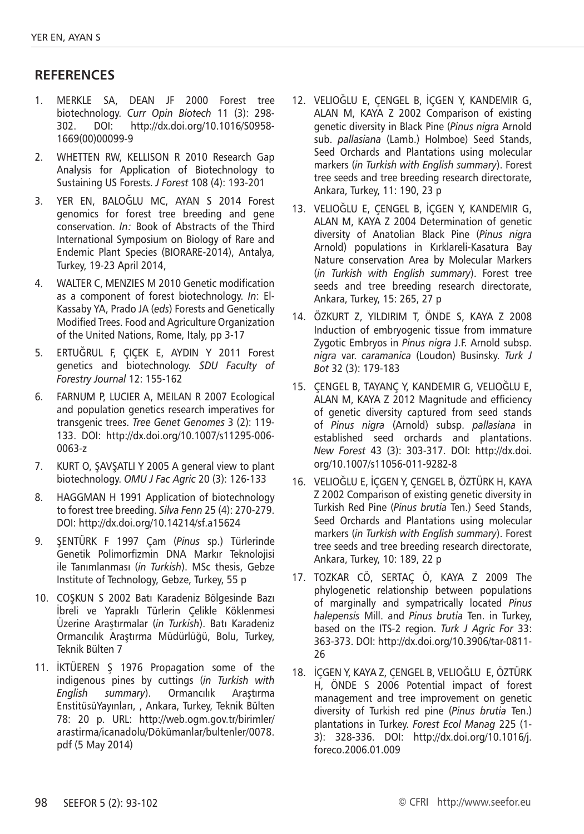# **RefereNces**

- 1. MERKLE SA, DEAN JF 2000 Forest tree biotechnology. *Curr Opin Biotech* 11 (3): 298- 302. DOI: http://dx.doi.org/10.1016/S0958- 1669(00)00099-9
- 2. WHETTEN RW, KELLISON R 2010 Research Gap Analysis for Application of Biotechnology to Sustaining US Forests. *J Forest* 108 (4): 193-201
- 3. YER EN, BALOĞLU MC, AYAN S 2014 Forest genomics for forest tree breeding and gene conservation. *In:* Book of Abstracts of the Third International Symposium on Biology of Rare and Endemic Plant Species (BIORARE-2014), Antalya, Turkey, 19-23 April 2014,
- 4. WALTER C, MENZIES M 2010 Genetic modification as a component of forest biotechnology. *In*: El-Kassaby YA, Prado JA (*eds*) Forests and Genetically Modified Trees. Food and Agriculture Organization of the United Nations, Rome, Italy, pp 3-17
- 5. ERTUĞRUL F, ÇIÇEK E, AYDIN Y 2011 Forest genetics and biotechnology. *SDU Faculty of Forestry Journal* 12: 155-162
- 6. FARNUM P, LUCIER A, MEILAN R 2007 Ecological and population genetics research imperatives for transgenic trees. *Tree Genet Genomes* 3 (2): 119- 133. DOI: http://dx.doi.org/10.1007/s11295-006- 0063-z
- 7. KURT O, ŞAVŞATLI Y 2005 A general view to plant biotechnology. *OMU J Fac Agric* 20 (3): 126-133
- 8. HAGGMAN H 1991 Application of biotechnology to forest tree breeding. *Silva Fenn* 25 (4): 270-279. DOI: http://dx.doi.org/10.14214/sf.a15624
- 9. ŞENTÜRK F 1997 Çam (*Pinus* sp.) Türlerinde Genetik Polimorfizmin DNA Markır Teknolojisi ile Tanımlanması (*in Turkish*). MSc thesis, Gebze Institute of Technology, Gebze, Turkey, 55 p
- 10. COŞKUN S 2002 Batı Karadeniz Bölgesinde Bazı İbreli ve Yapraklı Türlerin Çelikle Köklenmesi Üzerine Araştırmalar (*in Turkish*). Batı Karadeniz Ormancılık Araştırma Müdürlüğü, Bolu, Turkey, Teknik Bülten 7
- 11. İKTÜEREN Ş 1976 Propagation some of the indigenous pines by cuttings (*in Turkish with English summary*). Ormancılık Araştırma EnstitüsüYayınları, , Ankara, Turkey, Teknik Bülten 78: 20 p. URL: http://web.ogm.gov.tr/birimler/ arastirma/icanadolu/Dökümanlar/bultenler/0078. pdf (5 May 2014)
- 12. VELIOĞLU E, ÇENGEL B, İÇGEN Y, KANDEMIR G, ALAN M, KAYA Z 2002 Comparison of existing genetic diversity in Black Pine (*Pinus nigra* Arnold sub. *pallasiana* (Lamb.) Holmboe) Seed Stands, Seed Orchards and Plantations using molecular markers (*in Turkish with English summary*). Forest tree seeds and tree breeding research directorate, Ankara, Turkey, 11: 190, 23 p
- 13. VELIOĞLU E, ÇENGEL B, İÇGEN Y, KANDEMIR G, ALAN M, KAYA Z 2004 Determination of genetic diversity of Anatolian Black Pine (*Pinus nigra* Arnold) populations in Kırklareli-Kasatura Bay Nature conservation Area by Molecular Markers (*in Turkish with English summary*). Forest tree seeds and tree breeding research directorate, Ankara, Turkey, 15: 265, 27 p
- 14. ÖZKURT Z, YILDIRIM T, ÖNDE S, KAYA Z 2008 Induction of embryogenic tissue from immature Zygotic Embryos in *Pinus nigra* J.F. Arnold subsp. *nigra* var. *caramanica* (Loudon) Businsky. *Turk J Bot* 32 (3): 179-183
- 15. ÇENGEL B, TAYANÇ Y, KANDEMIR G, VELIOĞLU E, ALAN M, KAYA Z 2012 Magnitude and efficiency of genetic diversity captured from seed stands of *Pinus nigra* (Arnold) subsp. *pallasiana* in established seed orchards and plantations. *New Forest* 43 (3): 303-317. DOI: http://dx.doi. org/10.1007/s11056-011-9282-8
- 16. VELIOĞLU E, İÇGEN Y, ÇENGEL B, ÖZTÜRK H, KAYA Z 2002 Comparison of existing genetic diversity in Turkish Red Pine (*Pinus brutia* Ten.) Seed Stands, Seed Orchards and Plantations using molecular markers (*in Turkish with English summary*). Forest tree seeds and tree breeding research directorate, Ankara, Turkey, 10: 189, 22 p
- 17. TOZKAR CÖ, SERTAÇ Ö, KAYA Z 2009 The phylogenetic relationship between populations of marginally and sympatrically located *Pinus halepensis* Mill. and *Pinus brutia* Ten. in Turkey, based on the ITS-2 region. *Turk J Agric For* 33: 363-373. DOI: http://dx.doi.org/10.3906/tar-0811- 26
- 18. İÇGEN Y, KAYA Z, ÇENGEL B, VELIOĞLU E, ÖZTÜRK H, ÖNDE S 2006 Potential impact of forest management and tree improvement on genetic diversity of Turkish red pine (*Pinus brutia* Ten.) plantations in Turkey. *Forest Ecol Manag* 225 (1- 3): 328-336. DOI: http://dx.doi.org/10.1016/j. foreco.2006.01.009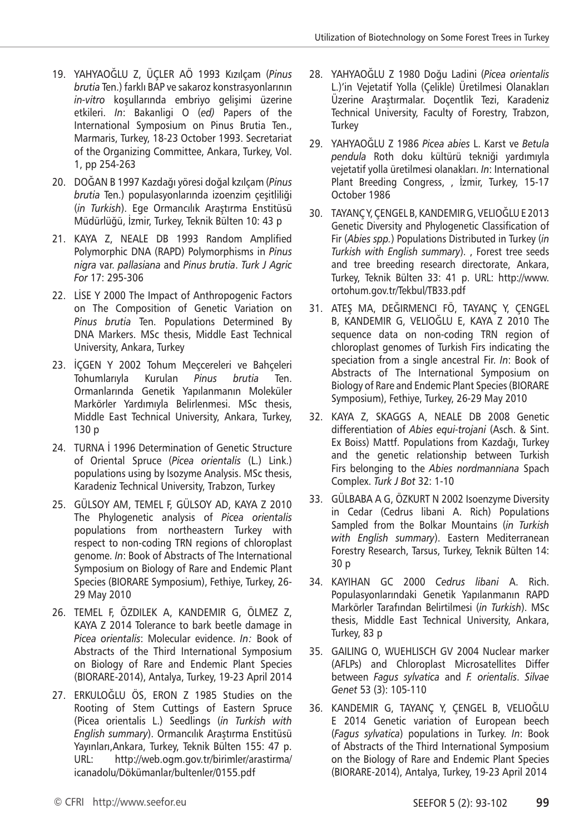- 19. YAHYAOĞLU Z, ÜÇLER AÖ 1993 Kızılçam (*Pinus brutia* Ten.) farklı BAP ve sakaroz konstrasyonlarının *in-vitro* koşullarında embriyo gelişimi üzerine etkileri. *In*: Bakanligi O (*ed)* Papers of the International Symposium on Pinus Brutia Ten., Marmaris, Turkey, 18-23 October 1993. Secretariat of the Organizing Committee, Ankara, Turkey, Vol. 1, pp 254-263
- 20. DOĞAN B 1997 Kazdağı yöresi doğal kzılçam (*Pinus brutia* Ten.) populasyonlarında izoenzim çeşitliliği (*in Turkish*). Ege Ormancılık Araştırma Enstitüsü Müdürlüğü, İzmir, Turkey, Teknik Bülten 10: 43 p
- 21. KAYA Z, NEALE DB 1993 Random Amplified Polymorphic DNA (RAPD) Polymorphisms in *Pinus nigra* var. *pallasiana* and *Pinus brutia*. *Turk J Agric For* 17: 295-306
- 22. LİSE Y 2000 The Impact of Anthropogenic Factors on The Composition of Genetic Variation on *Pinus brutia* Ten. Populations Determined By DNA Markers. MSc thesis, Middle East Technical University, Ankara, Turkey
- 23. İÇGEN Y 2002 Tohum Meçcereleri ve Bahçeleri Tohumlarıyla Kurulan *Pinus brutia* Ten. Ormanlarında Genetik Yapılanmanın Moleküler Markörler Yardımıyla Belirlenmesi. MSc thesis, Middle East Technical University, Ankara, Turkey, 130 p
- 24. TURNA İ 1996 Determination of Genetic Structure of Oriental Spruce (*Picea orientalis* (L.) Link.) populations using by Isozyme Analysis. MSc thesis, Karadeniz Technical University, Trabzon, Turkey
- 25. GÜLSOY AM, TEMEL F, GÜLSOY AD, KAYA Z 2010 The Phylogenetic analysis of *Picea orientalis* populations from northeastern Turkey with respect to non-coding TRN regions of chloroplast genome. *In*: Book of Abstracts of The International Symposium on Biology of Rare and Endemic Plant Species (BIORARE Symposium), Fethiye, Turkey, 26- 29 May 2010
- 26. TEMEL F, ÖZDILEK A, KANDEMIR G, ÖLMEZ Z, KAYA Z 2014 Tolerance to bark beetle damage in *Picea orientalis*: Molecular evidence. *In:* Book of Abstracts of the Third International Symposium on Biology of Rare and Endemic Plant Species (BIORARE-2014), Antalya, Turkey, 19-23 April 2014
- 27. ERKULOĞLU ÖS, ERON Z 1985 Studies on the Rooting of Stem Cuttings of Eastern Spruce (Picea orientalis L.) Seedlings (*in Turkish with English summary*). Ormancılık Araştırma Enstitüsü Yayınları,Ankara, Turkey, Teknik Bülten 155: 47 p. URL: http://web.ogm.gov.tr/birimler/arastirma/ icanadolu/Dökümanlar/bultenler/0155.pdf
- 28. YAHYAOĞLU Z 1980 Doğu Ladini (*Picea orientalis* L.)'in Vejetatif Yolla (Çelikle) Üretilmesi Olanakları Üzerine Araştırmalar. Doçentlik Tezi, Karadeniz Technical University, Faculty of Forestry, Trabzon, **Turkey**
- 29. YAHYAOĞLU Z 1986 *Picea abies* L. Karst ve *Betula pendula* Roth doku kültürü tekniği yardımıyla vejetatif yolla üretilmesi olanakları. *In*: International Plant Breeding Congress, , İzmir, Turkey, 15-17 October 1986
- 30. TAYANÇ Y, ÇENGEL B, KANDEMIR G, VELIOĞLU E 2013 Genetic Diversity and Phylogenetic Classification of Fir (*Abies spp.*) Populations Distributed in Turkey (*in Turkish with English summary*). , Forest tree seeds and tree breeding research directorate, Ankara, Turkey, Teknik Bülten 33: 41 p. URL: http://www. ortohum.gov.tr/Tekbul/TB33.pdf
- 31. ATEŞ MA, DEĞIRMENCI FÖ, TAYANÇ Y, ÇENGEL B, KANDEMIR G, VELIOĞLU E, KAYA Z 2010 The sequence data on non-coding TRN region of chloroplast genomes of Turkish Firs indicating the speciation from a single ancestral Fir. *In*: Book of Abstracts of The International Symposium on Biology of Rare and Endemic Plant Species (BIORARE Symposium), Fethiye, Turkey, 26-29 May 2010
- 32. KAYA Z, SKAGGS A, NEALE DB 2008 Genetic differentiation of *Abies equi-trojani* (Asch. & Sint. Ex Boiss) Mattf. Populations from Kazdağı, Turkey and the genetic relationship between Turkish Firs belonging to the *Abies nordmanniana* Spach Complex. *Turk J Bot* 32: 1-10
- 33. GÜLBABA A G, ÖZKURT N 2002 Isoenzyme Diversity in Cedar (Cedrus libani A. Rich) Populations Sampled from the Bolkar Mountains (*in Turkish with English summary*). Eastern Mediterranean Forestry Research, Tarsus, Turkey, Teknik Bülten 14: 30 p
- 34. KAYIHAN GC 2000 *Cedrus libani* A. Rich. Populasyonlarındaki Genetik Yapılanmanın RAPD Markörler Tarafından Belirtilmesi (*in Turkish*). MSc thesis, Middle East Technical University, Ankara, Turkey, 83 p
- 35. GAILING O, WUEHLISCH GV 2004 Nuclear marker (AFLPs) and Chloroplast Microsatellites Differ between *Fagus sylvatica* and *F. orientalis*. *Silvae Genet* 53 (3): 105-110
- 36. KANDEMIR G, TAYANÇ Y, ÇENGEL B, VELIOĞLU E 2014 Genetic variation of European beech (*Fagus sylvatica*) populations in Turkey. *In*: Book of Abstracts of the Third International Symposium on the Biology of Rare and Endemic Plant Species (BIORARE-2014), Antalya, Turkey, 19-23 April 2014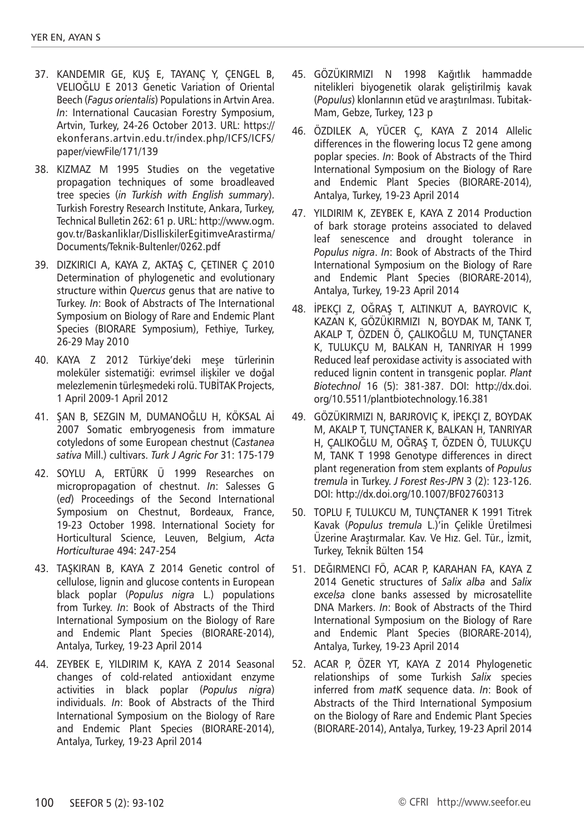- 37. KANDEMIR GE, KUŞ E, TAYANÇ Y, ÇENGEL B, VELIOĞLU E 2013 Genetic Variation of Oriental Beech (*Fagus orientalis*) Populations in Artvin Area. *In*: International Caucasian Forestry Symposium, Artvin, Turkey, 24-26 October 2013. URL: https:// ekonferans.artvin.edu.tr/index.php/ICFS/ICFS/ paper/viewFile/171/139
- 38. KIZMAZ M 1995 Studies on the vegetative propagation techniques of some broadleaved tree species (*in Turkish with English summary*). Turkish Forestry Research Institute, Ankara, Turkey, Technical Bulletin 262: 61 p. URL: http://www.ogm. gov.tr/Baskanliklar/DisIliskilerEgitimveArastirma/ Documents/Teknik-Bultenler/0262.pdf
- 39. DIZKIRICI A, KAYA Z, AKTAŞ C, ÇETINER Ç 2010 Determination of phylogenetic and evolutionary structure within *Quercus* genus that are native to Turkey. *In*: Book of Abstracts of The International Symposium on Biology of Rare and Endemic Plant Species (BIORARE Symposium), Fethiye, Turkey, 26-29 May 2010
- 40. KAYA Z 2012 Türkiye'deki meşe türlerinin moleküler sistematiği: evrimsel ilişkiler ve doğal melezlemenin türleşmedeki rolü. TUBİTAK Projects, 1 April 2009-1 April 2012
- 41. ŞAN B, SEZGIN M, DUMANOĞLU H, KÖKSAL Aİ 2007 Somatic embryogenesis from immature cotyledons of some European chestnut (*Castanea sativa* Mill.) cultivars. *Turk J Agric For* 31: 175-179
- 42. SOYLU A, ERTÜRK Ü 1999 Researches on micropropagation of chestnut. *In*: Salesses G (*ed*) Proceedings of the Second International Symposium on Chestnut, Bordeaux, France, 19-23 October 1998. International Society for Horticultural Science, Leuven, Belgium, *Acta Horticulturae* 494: 247-254
- 43. TAŞKIRAN B, KAYA Z 2014 Genetic control of cellulose, lignin and glucose contents in European black poplar (*Populus nigra* L.) populations from Turkey. *In*: Book of Abstracts of the Third International Symposium on the Biology of Rare and Endemic Plant Species (BIORARE-2014), Antalya, Turkey, 19-23 April 2014
- 44. ZEYBEK E, YILDIRIM K, KAYA Z 2014 Seasonal changes of cold-related antioxidant enzyme activities in black poplar (*Populus nigra*) individuals. *In*: Book of Abstracts of the Third International Symposium on the Biology of Rare and Endemic Plant Species (BIORARE-2014), Antalya, Turkey, 19-23 April 2014
- 45. GÖZÜKIRMIZI N 1998 Kağıtlık hammadde nitelikleri biyogenetik olarak geliştirilmiş kavak (*Populus*) klonlarının etüd ve araştırılması. Tubitak-Mam, Gebze, Turkey, 123 p
- 46. ÖZDILEK A, YÜCER Ç, KAYA Z 2014 Allelic differences in the flowering locus T2 gene among poplar species. *In*: Book of Abstracts of the Third International Symposium on the Biology of Rare and Endemic Plant Species (BIORARE-2014), Antalya, Turkey, 19-23 April 2014
- 47. YILDIRIM K, ZEYBEK E, KAYA Z 2014 Production of bark storage proteins associated to delaved leaf senescence and drought tolerance in *Populus nigra*. *In*: Book of Abstracts of the Third International Symposium on the Biology of Rare and Endemic Plant Species (BIORARE-2014), Antalya, Turkey, 19-23 April 2014
- 48. İPEKÇI Z, OĞRAŞ T, ALTINKUT A, BAYROVIC K, KAZAN K, GÖZÜKIRMIZI N, BOYDAK M, TANK T, AKALP T, ÖZDEN Ö, ÇALIKOĞLU M, TUNÇTANER K, TULUKÇU M, BALKAN H, TANRIYAR H 1999 Reduced leaf peroxidase activity is associated with reduced lignin content in transgenic poplar. *Plant Biotechnol* 16 (5): 381-387. DOI: http://dx.doi. org/10.5511/plantbiotechnology.16.381
- 49. GÖZÜKIRMIZI N, BARJROVIÇ K, İPEKÇI Z, BOYDAK M, AKALP T, TUNÇTANER K, BALKAN H, TANRIYAR H, ÇALIKOĞLU M, OĞRAŞ T, ÖZDEN Ö, TULUKÇU M, TANK T 1998 Genotype differences in direct plant regeneration from stem explants of *Populus tremula* in Turkey. *J Forest Res-JPN* 3 (2): 123-126. DOI: http://dx.doi.org/10.1007/BF02760313
- 50. TOPLU F, TULUKCU M, TUNÇTANER K 1991 Titrek Kavak (*Populus tremula* L.)'in Çelikle Üretilmesi Üzerine Araştırmalar. Kav. Ve Hız. Gel. Tür., İzmit, Turkey, Teknik Bülten 154
- 51. DEĞIRMENCI FÖ, ACAR P, KARAHAN FA, KAYA Z 2014 Genetic structures of *Salix alba* and *Salix excelsa* clone banks assessed by microsatellite DNA Markers. *In*: Book of Abstracts of the Third International Symposium on the Biology of Rare and Endemic Plant Species (BIORARE-2014), Antalya, Turkey, 19-23 April 2014
- 52. ACAR P, ÖZER YT, KAYA Z 2014 Phylogenetic relationships of some Turkish *Salix* species inferred from *mat*K sequence data. *In*: Book of Abstracts of the Third International Symposium on the Biology of Rare and Endemic Plant Species (BIORARE-2014), Antalya, Turkey, 19-23 April 2014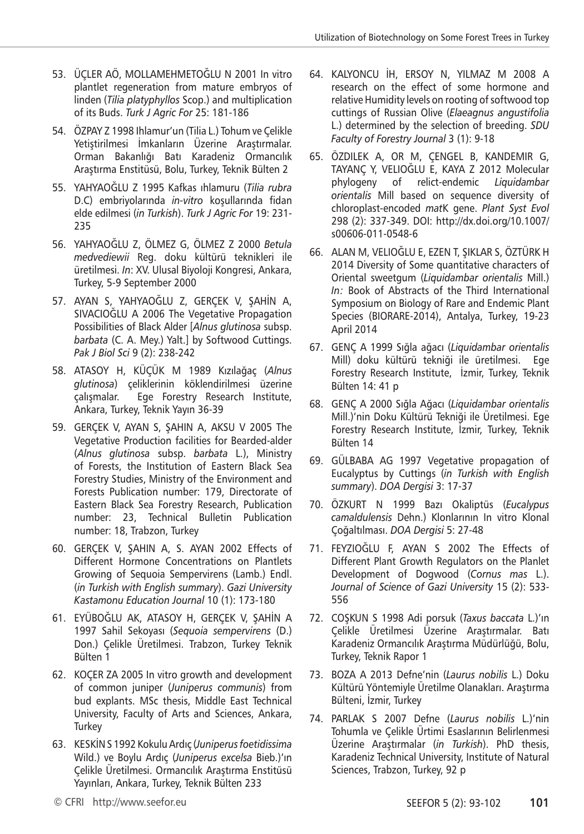- 53. ÜÇLER AÖ, MOLLAMEHMETOĞLU N 2001 In vitro plantlet regeneration from mature embryos of linden (*Tilia platyphyllos* Scop.) and multiplication of its Buds. *Turk J Agric For* 25: 181-186
- 54. ÖZPAY Z 1998 Ihlamur'un (Tilia L.) Tohum ve Çelikle Yetiştirilmesi İmkanların Üzerine Araştırmalar. Orman Bakanlığı Batı Karadeniz Ormancılık Araştırma Enstitüsü, Bolu, Turkey, Teknik Bülten 2
- 55. YAHYAOĞLU Z 1995 Kafkas ıhlamuru (*Tilia rubra* D.C) embriyolarında *in-vitro* koşullarında fidan elde edilmesi (*in Turkish*). *Turk J Agric For* 19: 231- 235
- 56. YAHYAOĞLU Z, ÖLMEZ G, ÖLMEZ Z 2000 *Betula medvediewii* Reg. doku kültürü teknikleri ile üretilmesi. *In*: XV. Ulusal Biyoloji Kongresi, Ankara, Turkey, 5-9 September 2000
- 57. AYAN S, YAHYAOĞLU Z, GERÇEK V, ŞAHİN A, SIVACIOĞLU A 2006 The Vegetative Propagation Possibilities of Black Alder [*Alnus glutinosa* subsp. *barbata* (C. A. Mey.) Yalt.] by Softwood Cuttings. *Pak J Biol Sci* 9 (2): 238-242
- 58. ATASOY H, KÜÇÜK M 1989 Kızılağaç (*Alnus glutinosa*) çeliklerinin köklendirilmesi üzerine çalışmalar. Ege Forestry Research Institute, Ankara, Turkey, Teknik Yayın 36-39
- 59. GERÇEK V, AYAN S, ŞAHIN A, AKSU V 2005 The Vegetative Production facilities for Bearded-alder (*Alnus glutinosa* subsp. *barbata* L.), Ministry of Forests, the Institution of Eastern Black Sea Forestry Studies, Ministry of the Environment and Forests Publication number: 179, Directorate of Eastern Black Sea Forestry Research, Publication number: 23, Technical Bulletin Publication number: 18, Trabzon, Turkey
- 60. GERÇEK V, ŞAHIN A, S. AYAN 2002 Effects of Different Hormone Concentrations on Plantlets Growing of Sequoia Sempervirens (Lamb.) Endl. (*in Turkish with English summary*). *Gazi University Kastamonu Education Journal* 10 (1): 173-180
- 61. EYÜBOĞLU AK, ATASOY H, GERÇEK V, ŞAHİN A 1997 Sahil Sekoyası (*Sequoia sempervirens* (D.) Don.) Çelikle Üretilmesi. Trabzon, Turkey Teknik Bülten 1
- 62. KOÇER ZA 2005 In vitro growth and development of common juniper (*Juniperus communis*) from bud explants. MSc thesis, Middle East Technical University, Faculty of Arts and Sciences, Ankara, **Turkey**
- 63. KESKİN S 1992 Kokulu Ardıç (*Juniperus foetidissima* Wild.) ve Boylu Ardıç (*Juniperus excelsa* Bieb.)'ın Çelikle Üretilmesi. Ormancılık Araştırma Enstitüsü Yayınları, Ankara, Turkey, Teknik Bülten 233
- 64. KALYONCU İH, ERSOY N, YILMAZ M 2008 A research on the effect of some hormone and relative Humidity levels on rooting of softwood top cuttings of Russian Olive (*Elaeagnus angustifolia* L.) determined by the selection of breeding. *SDU Faculty of Forestry Journal* 3 (1): 9-18
- 65. ÖZDILEK A, OR M, ÇENGEL B, KANDEMIR G, TAYANÇ Y, VELIOĞLU E, KAYA Z 2012 Molecular phylogeny of relict-endemic *Liquidambar orientalis* Mill based on sequence diversity of chloroplast-encoded *mat*K gene. *Plant Syst Evol* 298 (2): 337-349. DOI: http://dx.doi.org/10.1007/ s00606-011-0548-6
- 66. ALAN M, VELIOĞLU E, EZEN T, ŞIKLAR S, ÖZTÜRK H 2014 Diversity of Some quantitative characters of Oriental sweetgum (*Liquidambar orientalis* Mill.) *In:* Book of Abstracts of the Third International Symposium on Biology of Rare and Endemic Plant Species (BIORARE-2014), Antalya, Turkey, 19-23 April 2014
- 67. GENÇ A 1999 Sığla ağacı (*Liquidambar orientalis* Mill) doku kültürü tekniği ile üretilmesi. Ege Forestry Research Institute, İzmir, Turkey, Teknik Bülten 14: 41 p
- 68. GENÇ A 2000 Sığla Ağacı (*Liquidambar orientalis* Mill.)'nin Doku Kültürü Tekniği ile Üretilmesi. Ege Forestry Research Institute, İzmir, Turkey, Teknik Bülten 14
- 69. GÜLBABA AG 1997 Vegetative propagation of Eucalyptus by Cuttings (*in Turkish with English summary*). *DOA Dergisi* 3: 17-37
- 70. ÖZKURT N 1999 Bazı Okaliptüs (*Eucalypus camaldulensis* Dehn.) Klonlarının In vitro Klonal Çoğaltılması. *DOA Dergisi* 5: 27-48
- 71. FEYZIOĞLU F, AYAN S 2002 The Effects of Different Plant Growth Regulators on the Planlet Development of Dogwood (*Cornus mas* L.). *Journal of Science of Gazi University* 15 (2): 533- 556
- 72. COŞKUN S 1998 Adi porsuk (*Taxus baccata* L.)'ın Çelikle Üretilmesi Üzerine Araştırmalar. Batı Karadeniz Ormancılık Araştırma Müdürlüğü, Bolu, Turkey, Teknik Rapor 1
- 73. BOZA A 2013 Defne'nin (*Laurus nobilis* L.) Doku Kültürü Yöntemiyle Üretilme Olanakları. Araştırma Bülteni, İzmir, Turkey
- 74. PARLAK S 2007 Defne (*Laurus nobilis* L.)'nin Tohumla ve Çelikle Ürtimi Esaslarının Belirlenmesi Üzerine Araştırmalar (*in Turkish*). PhD thesis, Karadeniz Technical University, Institute of Natural Sciences, Trabzon, Turkey, 92 p